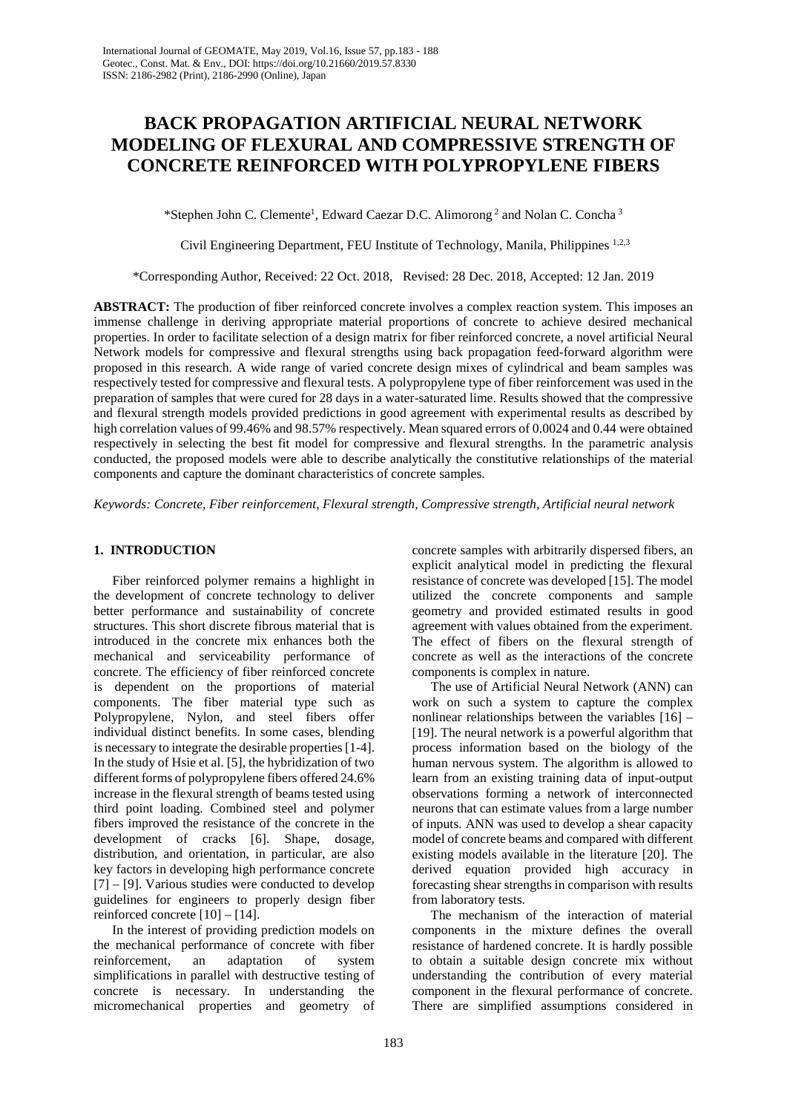# **BACK PROPAGATION ARTIFICIAL NEURAL NETWORK MODELING OF FLEXURAL AND COMPRESSIVE STRENGTH OF CONCRETE REINFORCED WITH POLYPROPYLENE FIBERS**

\*Stephen John C. Clemente<sup>1</sup>, Edward Caezar D.C. Alimorong<sup>2</sup> and Nolan C. Concha<sup>3</sup>

Civil Engineering Department, FEU Institute of Technology, Manila, Philippines 1,2,3

\*Corresponding Author, Received: 22 Oct. 2018, Revised: 28 Dec. 2018, Accepted: 12 Jan. 2019

**ABSTRACT:** The production of fiber reinforced concrete involves a complex reaction system. This imposes an immense challenge in deriving appropriate material proportions of concrete to achieve desired mechanical properties. In order to facilitate selection of a design matrix for fiber reinforced concrete, a novel artificial Neural Network models for compressive and flexural strengths using back propagation feed-forward algorithm were proposed in this research. A wide range of varied concrete design mixes of cylindrical and beam samples was respectively tested for compressive and flexural tests. A polypropylene type of fiber reinforcement was used in the preparation of samples that were cured for 28 days in a water-saturated lime. Results showed that the compressive and flexural strength models provided predictions in good agreement with experimental results as described by high correlation values of 99.46% and 98.57% respectively. Mean squared errors of 0.0024 and 0.44 were obtained respectively in selecting the best fit model for compressive and flexural strengths. In the parametric analysis conducted, the proposed models were able to describe analytically the constitutive relationships of the material components and capture the dominant characteristics of concrete samples.

*Keywords: Concrete, Fiber reinforcement, Flexural strength, Compressive strength, Artificial neural network*

## **1. INTRODUCTION**

Fiber reinforced polymer remains a highlight in the development of concrete technology to deliver better performance and sustainability of concrete structures. This short discrete fibrous material that is introduced in the concrete mix enhances both the mechanical and serviceability performance of concrete. The efficiency of fiber reinforced concrete is dependent on the proportions of material components. The fiber material type such as Polypropylene, Nylon, and steel fibers offer individual distinct benefits. In some cases, blending is necessary to integrate the desirable properties [1-4]. In the study of Hsie et al. [5], the hybridization of two different forms of polypropylene fibers offered 24.6% increase in the flexural strength of beams tested using third point loading. Combined steel and polymer fibers improved the resistance of the concrete in the development of cracks [6]. Shape, dosage, distribution, and orientation, in particular, are also key factors in developing high performance concrete [7] – [9]. Various studies were conducted to develop guidelines for engineers to properly design fiber reinforced concrete  $[10] - [14]$ .

In the interest of providing prediction models on the mechanical performance of concrete with fiber reinforcement, an adaptation of system simplifications in parallel with destructive testing of concrete is necessary. In understanding the micromechanical properties and geometry of concrete samples with arbitrarily dispersed fibers, an explicit analytical model in predicting the flexural resistance of concrete was developed [15]. The model utilized the concrete components and sample geometry and provided estimated results in good agreement with values obtained from the experiment. The effect of fibers on the flexural strength of concrete as well as the interactions of the concrete components is complex in nature.

The use of Artificial Neural Network (ANN) can work on such a system to capture the complex nonlinear relationships between the variables [16] – [19]. The neural network is a powerful algorithm that process information based on the biology of the human nervous system. The algorithm is allowed to learn from an existing training data of input-output observations forming a network of interconnected neurons that can estimate values from a large number of inputs. ANN was used to develop a shear capacity model of concrete beams and compared with different existing models available in the literature [20]. The derived equation provided high accuracy in forecasting shear strengths in comparison with results from laboratory tests.

The mechanism of the interaction of material components in the mixture defines the overall resistance of hardened concrete. It is hardly possible to obtain a suitable design concrete mix without understanding the contribution of every material component in the flexural performance of concrete. There are simplified assumptions considered in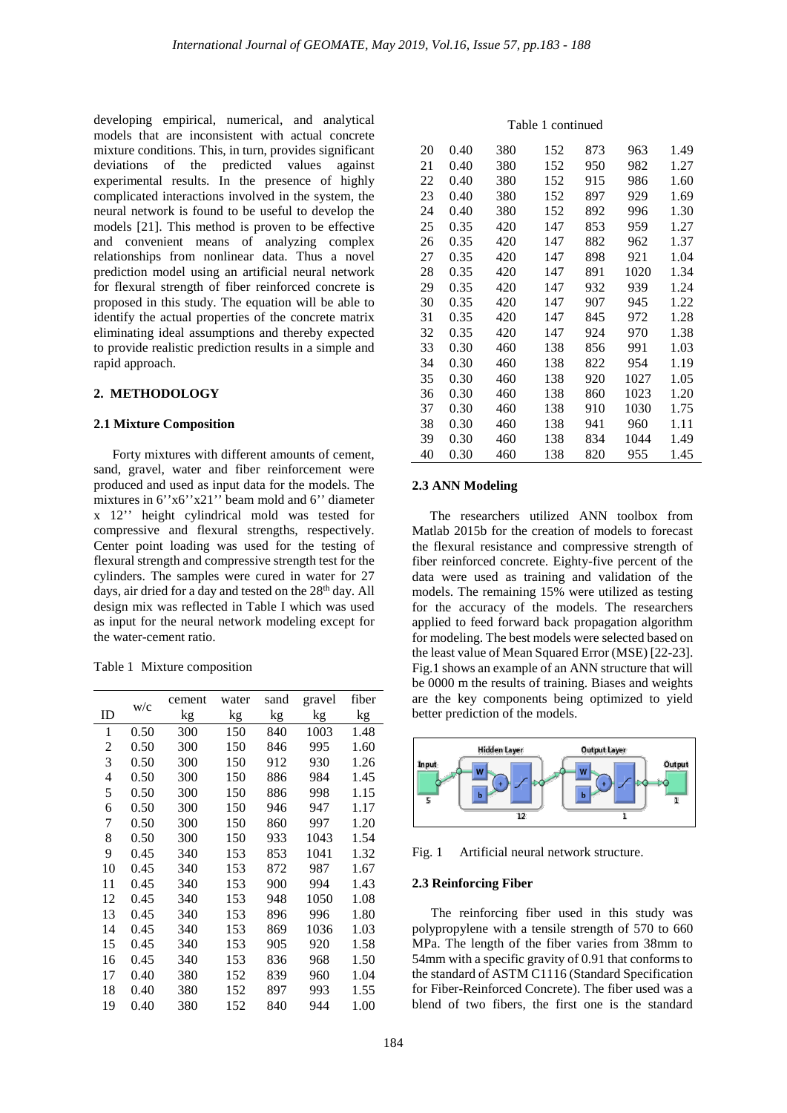developing empirical, numerical, and analytical models that are inconsistent with actual concrete mixture conditions. This, in turn, provides significant deviations of the predicted values against experimental results. In the presence of highly complicated interactions involved in the system, the neural network is found to be useful to develop the models [21]. This method is proven to be effective and convenient means of analyzing complex relationships from nonlinear data. Thus a novel prediction model using an artificial neural network for flexural strength of fiber reinforced concrete is proposed in this study. The equation will be able to identify the actual properties of the concrete matrix eliminating ideal assumptions and thereby expected to provide realistic prediction results in a simple and rapid approach.

## **2. METHODOLOGY**

#### **2.1 Mixture Composition**

Forty mixtures with different amounts of cement, sand, gravel, water and fiber reinforcement were produced and used as input data for the models. The mixtures in  $6''x6''x21''$  beam mold and  $6''$  diameter x 12'' height cylindrical mold was tested for compressive and flexural strengths, respectively. Center point loading was used for the testing of flexural strength and compressive strength test for the cylinders. The samples were cured in water for 27 days, air dried for a day and tested on the 28<sup>th</sup> day. All design mix was reflected in Table I which was used as input for the neural network modeling except for the water-cement ratio.

Table 1 Mixture composition

| ID | W/c  | cement | water | sand | gravel | fiber |
|----|------|--------|-------|------|--------|-------|
|    |      | kg     | kg    | kg   | kg     | kg    |
| 1  | 0.50 | 300    | 150   | 840  | 1003   | 1.48  |
| 2  | 0.50 | 300    | 150   | 846  | 995    | 1.60  |
| 3  | 0.50 | 300    | 150   | 912  | 930    | 1.26  |
| 4  | 0.50 | 300    | 150   | 886  | 984    | 1.45  |
| 5  | 0.50 | 300    | 150   | 886  | 998    | 1.15  |
| 6  | 0.50 | 300    | 150   | 946  | 947    | 1.17  |
| 7  | 0.50 | 300    | 150   | 860  | 997    | 1.20  |
| 8  | 0.50 | 300    | 150   | 933  | 1043   | 1.54  |
| 9  | 0.45 | 340    | 153   | 853  | 1041   | 1.32  |
| 10 | 0.45 | 340    | 153   | 872  | 987    | 1.67  |
| 11 | 0.45 | 340    | 153   | 900  | 994    | 1.43  |
| 12 | 0.45 | 340    | 153   | 948  | 1050   | 1.08  |
| 13 | 0.45 | 340    | 153   | 896  | 996    | 1.80  |
| 14 | 0.45 | 340    | 153   | 869  | 1036   | 1.03  |
| 15 | 0.45 | 340    | 153   | 905  | 920    | 1.58  |
| 16 | 0.45 | 340    | 153   | 836  | 968    | 1.50  |
| 17 | 0.40 | 380    | 152   | 839  | 960    | 1.04  |
| 18 | 0.40 | 380    | 152   | 897  | 993    | 1.55  |
| 19 | 0.40 | 380    | 152   | 840  | 944    | 1.00  |

#### Table 1 continued

| 20 | 0.40 | 380 | 152 | 873 | 963  | 1.49 |
|----|------|-----|-----|-----|------|------|
| 21 | 0.40 | 380 | 152 | 950 | 982  | 1.27 |
| 22 | 0.40 | 380 | 152 | 915 | 986  | 1.60 |
| 23 | 0.40 | 380 | 152 | 897 | 929  | 1.69 |
| 24 | 0.40 | 380 | 152 | 892 | 996  | 1.30 |
| 25 | 0.35 | 420 | 147 | 853 | 959  | 1.27 |
| 26 | 0.35 | 420 | 147 | 882 | 962  | 1.37 |
| 27 | 0.35 | 420 | 147 | 898 | 921  | 1.04 |
| 28 | 0.35 | 420 | 147 | 891 | 1020 | 1.34 |
| 29 | 0.35 | 420 | 147 | 932 | 939  | 1.24 |
| 30 | 0.35 | 420 | 147 | 907 | 945  | 1.22 |
| 31 | 0.35 | 420 | 147 | 845 | 972  | 1.28 |
| 32 | 0.35 | 420 | 147 | 924 | 970  | 1.38 |
| 33 | 0.30 | 460 | 138 | 856 | 991  | 1.03 |
| 34 | 0.30 | 460 | 138 | 822 | 954  | 1.19 |
| 35 | 0.30 | 460 | 138 | 920 | 1027 | 1.05 |
| 36 | 0.30 | 460 | 138 | 860 | 1023 | 1.20 |
| 37 | 0.30 | 460 | 138 | 910 | 1030 | 1.75 |
| 38 | 0.30 | 460 | 138 | 941 | 960  | 1.11 |
| 39 | 0.30 | 460 | 138 | 834 | 1044 | 1.49 |
| 40 | 0.30 | 460 | 138 | 820 | 955  | 1.45 |

#### **2.3 ANN Modeling**

The researchers utilized ANN toolbox from Matlab 2015b for the creation of models to forecast the flexural resistance and compressive strength of fiber reinforced concrete. Eighty-five percent of the data were used as training and validation of the models. The remaining 15% were utilized as testing for the accuracy of the models. The researchers applied to feed forward back propagation algorithm for modeling. The best models were selected based on the least value of Mean Squared Error (MSE) [22-23]. Fig.1 shows an example of an ANN structure that will be 0000 m the results of training. Biases and weights are the key components being optimized to yield better prediction of the models.



Fig. 1 Artificial neural network structure.

#### **2.3 Reinforcing Fiber**

The reinforcing fiber used in this study was polypropylene with a tensile strength of 570 to 660 MPa. The length of the fiber varies from 38mm to 54mm with a specific gravity of 0.91 that conforms to the standard of ASTM C1116 (Standard Specification for Fiber-Reinforced Concrete). The fiber used was a blend of two fibers, the first one is the standard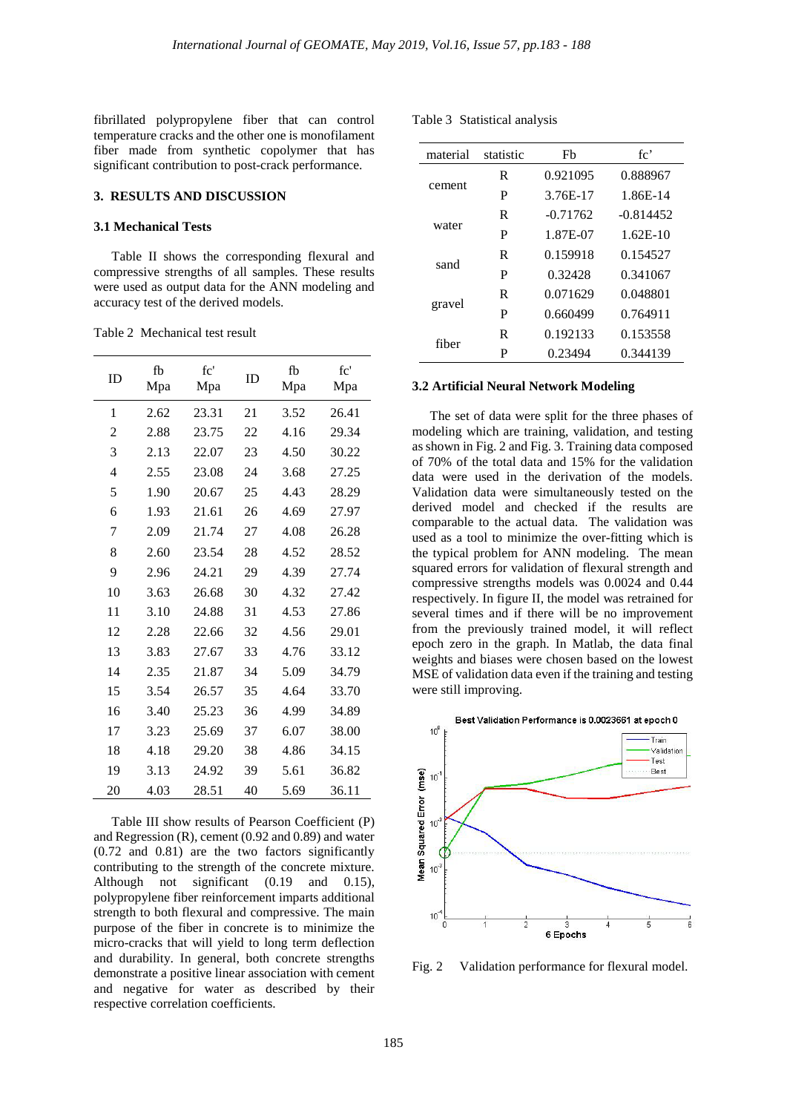fibrillated polypropylene fiber that can control temperature cracks and the other one is monofilament fiber made from synthetic copolymer that has significant contribution to post-crack performance.

## **3. RESULTS AND DISCUSSION**

#### **3.1 Mechanical Tests**

Table II shows the corresponding flexural and compressive strengths of all samples. These results were used as output data for the ANN modeling and accuracy test of the derived models.

Table 2 Mechanical test result

| ID             | fb<br>Mpa | fc'<br>Mpa | ID | fb<br>Mpa | fc'<br>Mpa |
|----------------|-----------|------------|----|-----------|------------|
| 1              | 2.62      | 23.31      | 21 | 3.52      | 26.41      |
| $\overline{2}$ | 2.88      | 23.75      | 22 | 4.16      | 29.34      |
| 3              | 2.13      | 22.07      | 23 | 4.50      | 30.22      |
| $\overline{4}$ | 2.55      | 23.08      | 24 | 3.68      | 27.25      |
| 5              | 1.90      | 20.67      | 25 | 4.43      | 28.29      |
| 6              | 1.93      | 21.61      | 26 | 4.69      | 27.97      |
| 7              | 2.09      | 21.74      | 27 | 4.08      | 26.28      |
| 8              | 2.60      | 23.54      | 28 | 4.52      | 28.52      |
| 9              | 2.96      | 24.21      | 29 | 4.39      | 27.74      |
| 10             | 3.63      | 26.68      | 30 | 4.32      | 27.42      |
| 11             | 3.10      | 24.88      | 31 | 4.53      | 27.86      |
| 12             | 2.28      | 22.66      | 32 | 4.56      | 29.01      |
| 13             | 3.83      | 27.67      | 33 | 4.76      | 33.12      |
| 14             | 2.35      | 21.87      | 34 | 5.09      | 34.79      |
| 15             | 3.54      | 26.57      | 35 | 4.64      | 33.70      |
| 16             | 3.40      | 25.23      | 36 | 4.99      | 34.89      |
| 17             | 3.23      | 25.69      | 37 | 6.07      | 38.00      |
| 18             | 4.18      | 29.20      | 38 | 4.86      | 34.15      |
| 19             | 3.13      | 24.92      | 39 | 5.61      | 36.82      |
| 20             | 4.03      | 28.51      | 40 | 5.69      | 36.11      |

Table III show results of Pearson Coefficient (P) and Regression (R), cement (0.92 and 0.89) and water (0.72 and 0.81) are the two factors significantly contributing to the strength of the concrete mixture. Although not significant (0.19 and 0.15), polypropylene fiber reinforcement imparts additional strength to both flexural and compressive. The main purpose of the fiber in concrete is to minimize the micro-cracks that will yield to long term deflection and durability. In general, both concrete strengths demonstrate a positive linear association with cement and negative for water as described by their respective correlation coefficients.

Table 3 Statistical analysis

| material<br>statistic |   | Fb         | fc'         |  |
|-----------------------|---|------------|-------------|--|
|                       | R | 0.921095   | 0.888967    |  |
| cement                | P | 3.76E-17   | 1.86E-14    |  |
| water                 | R | $-0.71762$ | $-0.814452$ |  |
|                       | P | 1.87E-07   | $1.62E-10$  |  |
| sand                  | R | 0.159918   | 0.154527    |  |
|                       | P | 0.32428    | 0.341067    |  |
| gravel                | R | 0.071629   | 0.048801    |  |
|                       | P | 0.660499   | 0.764911    |  |
| fiber                 | R | 0.192133   | 0.153558    |  |
|                       | P | 0.23494    | 0.344139    |  |

## **3.2 Artificial Neural Network Modeling**

The set of data were split for the three phases of modeling which are training, validation, and testing as shown in Fig. 2 and Fig. 3. Training data composed of 70% of the total data and 15% for the validation data were used in the derivation of the models. Validation data were simultaneously tested on the derived model and checked if the results are comparable to the actual data. The validation was used as a tool to minimize the over-fitting which is the typical problem for ANN modeling. The mean squared errors for validation of flexural strength and compressive strengths models was 0.0024 and 0.44 respectively. In figure II, the model was retrained for several times and if there will be no improvement from the previously trained model, it will reflect epoch zero in the graph. In Matlab, the data final weights and biases were chosen based on the lowest MSE of validation data even if the training and testing were still improving.



Fig. 2 Validation performance for flexural model.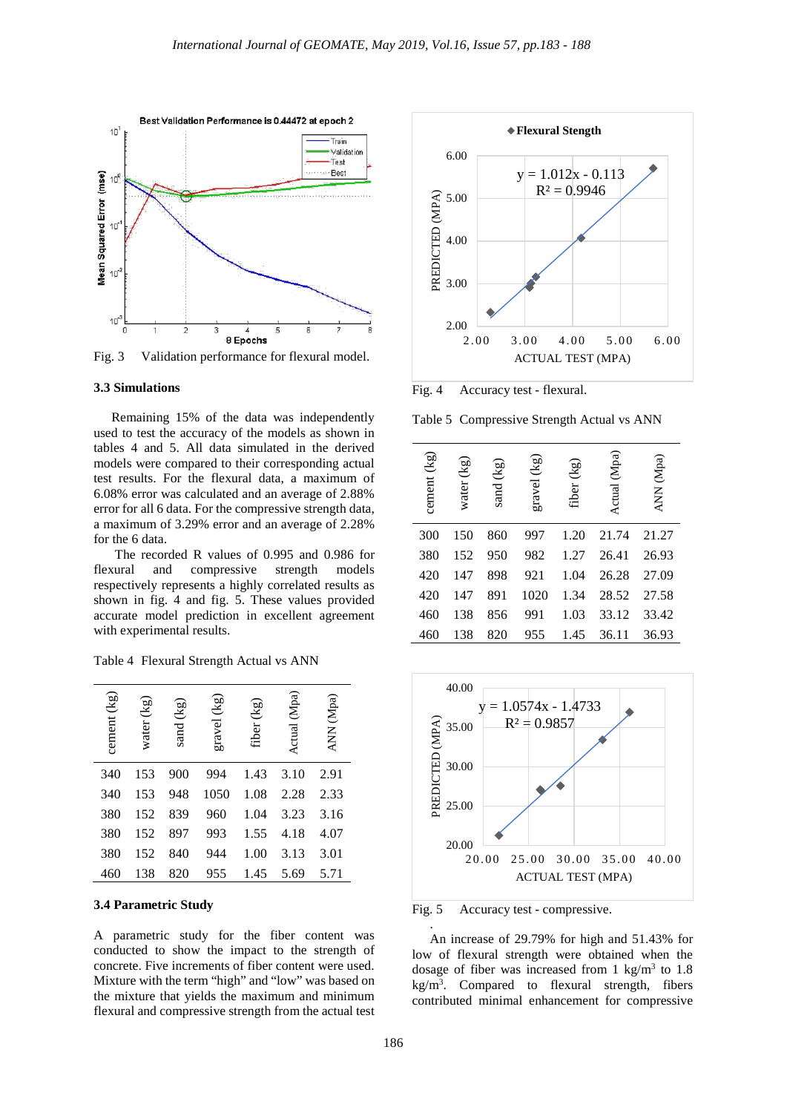

Fig. 3 Validation performance for flexural model.

#### **3.3 Simulations**

Remaining 15% of the data was independently used to test the accuracy of the models as shown in tables 4 and 5. All data simulated in the derived models were compared to their corresponding actual test results. For the flexural data, a maximum of 6.08% error was calculated and an average of 2.88% error for all 6 data. For the compressive strength data, a maximum of 3.29% error and an average of 2.28% for the 6 data.

The recorded R values of 0.995 and 0.986 for flexural and compressive strength models respectively represents a highly correlated results as shown in fig. 4 and fig. 5. These values provided accurate model prediction in excellent agreement with experimental results.

|  | Table 4 Flexural Strength Actual vs ANN |  |  |  |  |
|--|-----------------------------------------|--|--|--|--|
|--|-----------------------------------------|--|--|--|--|

| cement (kg) | (Kg)<br>water | $\left(\overline{5}\right)$<br>sand ( | gravel (kg) | fiber (kg) | (Mpa)<br>Actual | ANN (Mpa) |
|-------------|---------------|---------------------------------------|-------------|------------|-----------------|-----------|
| 340         | 153           | 900                                   | 994         | 1.43       | 3.10            | 2.91      |
| 340         | 153           | 948                                   | 1050        | 1.08       | 2.28            | 2.33      |
| 380         | 152           | 839                                   | 960         | 1.04       | 3.23            | 3.16      |
| 380         | 152           | 897                                   | 993         | 1.55       | 4.18            | 4.07      |
| 380         | 152           | 840                                   | 944         | 1.00       | 3.13            | 3.01      |
| 460         | 138           | 820                                   | 955         | 1.45       | 5.69            | 5.71      |

## **3.4 Parametric Study**

A parametric study for the fiber content was conducted to show the impact to the strength of concrete. Five increments of fiber content were used. Mixture with the term "high" and "low" was based on the mixture that yields the maximum and minimum flexural and compressive strength from the actual test



Fig. 4 Accuracy test - flexural.

Table 5 Compressive Strength Actual vs ANN

| cement (kg) | water (kg) | sand (kg) | gravel (kg) | fiber (kg) | Actual (Mpa) | (Mpa)<br><b>NNA</b> |
|-------------|------------|-----------|-------------|------------|--------------|---------------------|
| 300         | 150        | 860       | 997         | 1.20       | 21.74        | 21.27               |
| 380         | 152        | 950       | 982         | 1.27       | 26.41        | 26.93               |
| 420         | 147        | 898       | 921         | 1.04       | 26.28        | 27.09               |
| 420         | 147        | 891       | 1020        | 1.34       | 28.52        | 27.58               |
| 460         | 138        | 856       | 991         | 1.03       | 33.12        | 33.42               |
| 460         | 138        | 820       | 955         | 1.45       | 36.11        | 36.93               |



Fig. 5 Accuracy test - compressive.

An increase of 29.79% for high and 51.43% for low of flexural strength were obtained when the dosage of fiber was increased from 1 kg/m<sup>3</sup> to 1.8  $kg/m<sup>3</sup>$ . Compared to flexural strength, fibers contributed minimal enhancement for compressive

.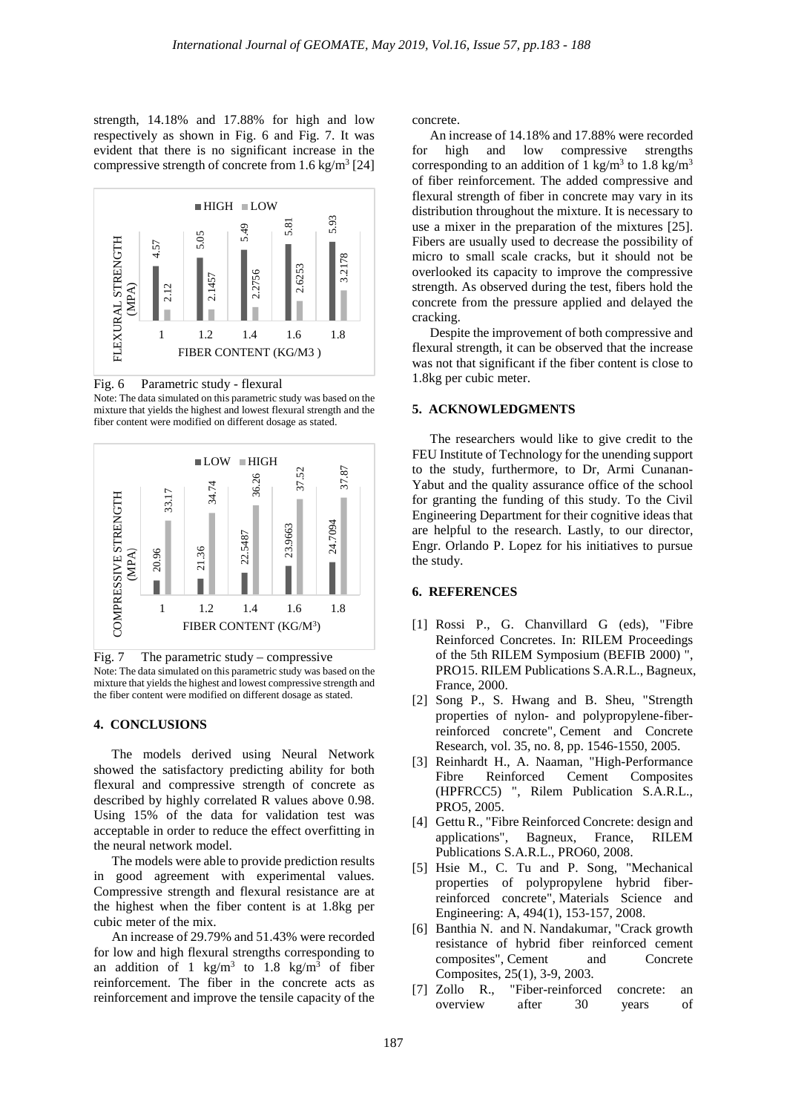strength, 14.18% and 17.88% for high and low respectively as shown in Fig. 6 and Fig. 7. It was evident that there is no significant increase in the compressive strength of concrete from  $1.6 \text{ kg/m}^3$  [24]



Fig. 6 Parametric study - flexural Note: The data simulated on this parametric study was based on the mixture that yields the highest and lowest flexural strength and the fiber content were modified on different dosage as stated.



Fig. 7 The parametric study – compressive Note: The data simulated on this parametric study was based on the mixture that yields the highest and lowest compressive strength and the fiber content were modified on different dosage as stated.

## **4. CONCLUSIONS**

The models derived using Neural Network showed the satisfactory predicting ability for both flexural and compressive strength of concrete as described by highly correlated R values above 0.98. Using 15% of the data for validation test was acceptable in order to reduce the effect overfitting in the neural network model.

The models were able to provide prediction results in good agreement with experimental values. Compressive strength and flexural resistance are at the highest when the fiber content is at 1.8kg per cubic meter of the mix.

An increase of 29.79% and 51.43% were recorded for low and high flexural strengths corresponding to an addition of 1 kg/m<sup>3</sup> to 1.8 kg/m<sup>3</sup> of fiber reinforcement. The fiber in the concrete acts as reinforcement and improve the tensile capacity of the

concrete.

An increase of 14.18% and 17.88% were recorded for high and low compressive strengths corresponding to an addition of 1 kg/m<sup>3</sup> to 1.8 kg/m<sup>3</sup> of fiber reinforcement. The added compressive and flexural strength of fiber in concrete may vary in its distribution throughout the mixture. It is necessary to use a mixer in the preparation of the mixtures [25]. Fibers are usually used to decrease the possibility of micro to small scale cracks, but it should not be overlooked its capacity to improve the compressive strength. As observed during the test, fibers hold the concrete from the pressure applied and delayed the cracking.

Despite the improvement of both compressive and flexural strength, it can be observed that the increase was not that significant if the fiber content is close to 1.8kg per cubic meter.

#### **5. ACKNOWLEDGMENTS**

The researchers would like to give credit to the FEU Institute of Technology for the unending support to the study, furthermore, to Dr, Armi Cunanan-Yabut and the quality assurance office of the school for granting the funding of this study. To the Civil Engineering Department for their cognitive ideas that are helpful to the research. Lastly, to our director, Engr. Orlando P. Lopez for his initiatives to pursue the study.

#### **6. REFERENCES**

- [1] Rossi P., G. Chanvillard G (eds), "Fibre Reinforced Concretes. In: RILEM Proceedings of the 5th RILEM Symposium (BEFIB 2000) ", PRO15. RILEM Publications S.A.R.L., Bagneux, France, 2000.
- [2] Song P., S. Hwang and B. Sheu, "Strength properties of nylon- and polypropylene-fiberreinforced concrete", Cement and Concrete Research, vol. 35, no. 8, pp. 1546-1550, 2005.
- [3] Reinhardt H., A. Naaman, "High-Performance Fibre Reinforced Cement Composites (HPFRCC5) ", Rilem Publication S.A.R.L., PRO5, 2005.
- [4] Gettu R., "Fibre Reinforced Concrete: design and applications", Bagneux, France, RILEM Publications S.A.R.L., PRO60, 2008.
- [5] Hsie M., C. Tu and P. Song, "Mechanical properties of polypropylene hybrid fiberreinforced concrete", Materials Science and Engineering: A, 494(1), 153-157, 2008.
- [6] Banthia N. and N. Nandakumar, "Crack growth resistance of hybrid fiber reinforced cement composites", Cement and Concrete Composites, 25(1), 3-9, 2003.
- [7] Zollo R., "Fiber-reinforced concrete: an overview after 30 years of